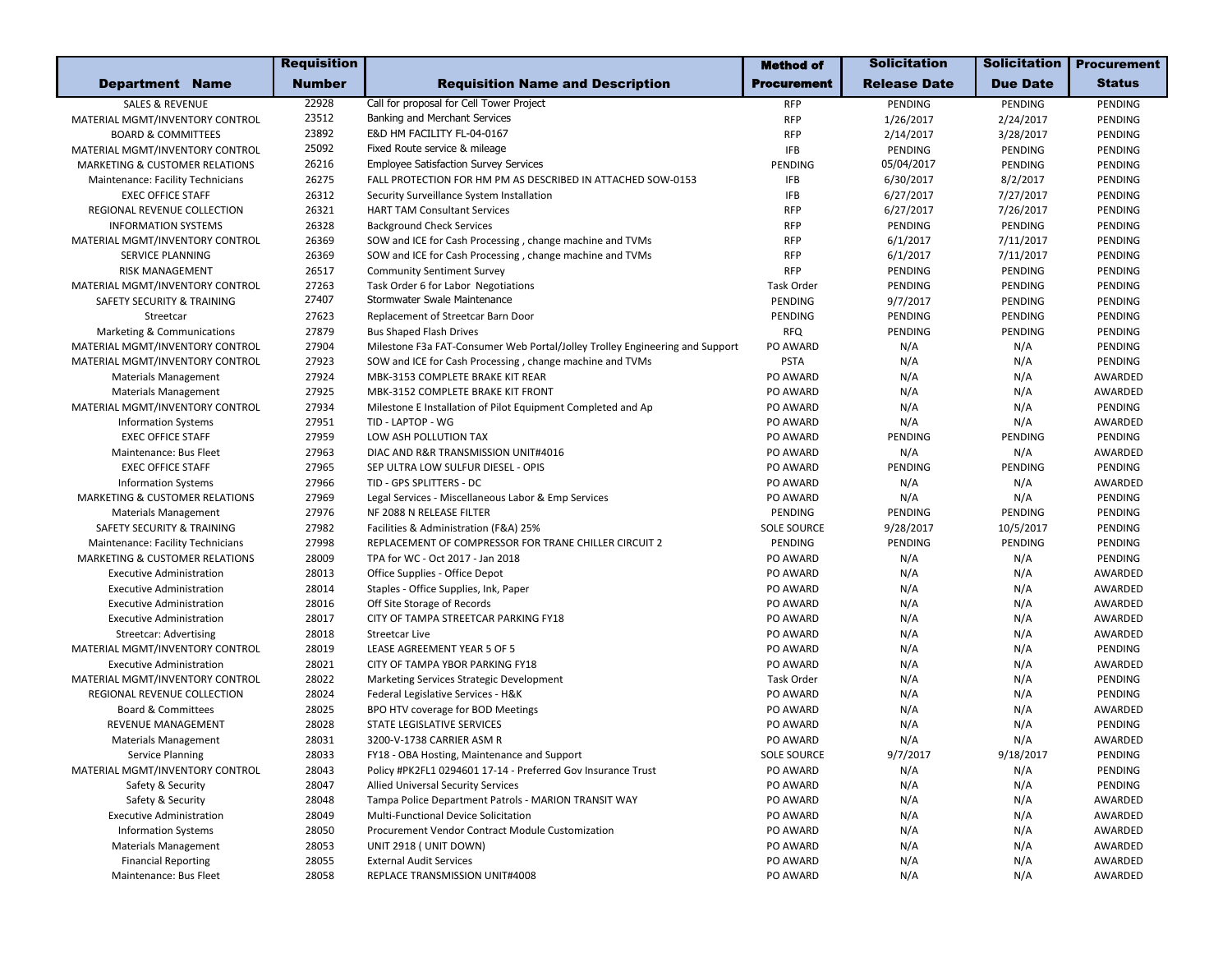|                                           | <b>Requisition</b> |                                                                              | <b>Method of</b>   | <b>Solicitation</b> | <b>Solicitation</b> | <b>Procurement</b> |
|-------------------------------------------|--------------------|------------------------------------------------------------------------------|--------------------|---------------------|---------------------|--------------------|
| <b>Department Name</b>                    | <b>Number</b>      | <b>Requisition Name and Description</b>                                      | <b>Procurement</b> | <b>Release Date</b> | <b>Due Date</b>     | <b>Status</b>      |
| <b>SALES &amp; REVENUE</b>                | 22928              | Call for proposal for Cell Tower Project                                     | <b>RFP</b>         | PENDING             | PENDING             | PENDING            |
| MATERIAL MGMT/INVENTORY CONTROL           | 23512              | Banking and Merchant Services                                                | <b>RFP</b>         | 1/26/2017           | 2/24/2017           | PENDING            |
| <b>BOARD &amp; COMMITTEES</b>             | 23892              | E&D HM FACILITY FL-04-0167                                                   | <b>RFP</b>         | 2/14/2017           | 3/28/2017           | PENDING            |
| MATERIAL MGMT/INVENTORY CONTROL           | 25092              | Fixed Route service & mileage                                                | <b>IFB</b>         | PENDING             | PENDING             | PENDING            |
| <b>MARKETING &amp; CUSTOMER RELATIONS</b> | 26216              | <b>Employee Satisfaction Survey Services</b>                                 | PENDING            | 05/04/2017          | PENDING             | PENDING            |
| Maintenance: Facility Technicians         | 26275              | FALL PROTECTION FOR HM PM AS DESCRIBED IN ATTACHED SOW-0153                  | <b>IFB</b>         | 6/30/2017           | 8/2/2017            | PENDING            |
| <b>EXEC OFFICE STAFF</b>                  | 26312              | Security Surveillance System Installation                                    | <b>IFB</b>         | 6/27/2017           | 7/27/2017           | PENDING            |
| REGIONAL REVENUE COLLECTION               | 26321              | <b>HART TAM Consultant Services</b>                                          | <b>RFP</b>         | 6/27/2017           | 7/26/2017           | PENDING            |
| <b>INFORMATION SYSTEMS</b>                | 26328              | <b>Background Check Services</b>                                             | <b>RFP</b>         | PENDING             | PENDING             | PENDING            |
| MATERIAL MGMT/INVENTORY CONTROL           | 26369              | SOW and ICE for Cash Processing, change machine and TVMs                     | <b>RFP</b>         | 6/1/2017            | 7/11/2017           | PENDING            |
| SERVICE PLANNING                          | 26369              | SOW and ICE for Cash Processing, change machine and TVMs                     | <b>RFP</b>         | 6/1/2017            | 7/11/2017           | PENDING            |
| RISK MANAGEMENT                           | 26517              | <b>Community Sentiment Survey</b>                                            | <b>RFP</b>         | PENDING             | PENDING             | PENDING            |
| MATERIAL MGMT/INVENTORY CONTROL           | 27263              | Task Order 6 for Labor Negotiations                                          | Task Order         | PENDING             | PENDING             | PENDING            |
| SAFETY SECURITY & TRAINING                | 27407              | Stormwater Swale Maintenance                                                 | PENDING            | 9/7/2017            | PENDING             | PENDING            |
| Streetcar                                 | 27623              | Replacement of Streetcar Barn Door                                           | PENDING            | PENDING             | PENDING             | PENDING            |
| Marketing & Communications                | 27879              | <b>Bus Shaped Flash Drives</b>                                               | <b>RFQ</b>         | PENDING             | PENDING             | PENDING            |
| MATERIAL MGMT/INVENTORY CONTROL           | 27904              | Milestone F3a FAT-Consumer Web Portal/Jolley Trolley Engineering and Support | PO AWARD           | N/A                 | N/A                 | PENDING            |
| MATERIAL MGMT/INVENTORY CONTROL           | 27923              | SOW and ICE for Cash Processing, change machine and TVMs                     | <b>PSTA</b>        | N/A                 | N/A                 | PENDING            |
| <b>Materials Management</b>               | 27924              | MBK-3153 COMPLETE BRAKE KIT REAR                                             | PO AWARD           | N/A                 | N/A                 | AWARDED            |
| <b>Materials Management</b>               | 27925              | MBK-3152 COMPLETE BRAKE KIT FRONT                                            | PO AWARD           | N/A                 | N/A                 | AWARDED            |
| MATERIAL MGMT/INVENTORY CONTROL           | 27934              | Milestone E Installation of Pilot Equipment Completed and Ap                 | PO AWARD           | N/A                 | N/A                 | PENDING            |
| <b>Information Systems</b>                | 27951              | TID - LAPTOP - WG                                                            | PO AWARD           | N/A                 | N/A                 | AWARDED            |
| <b>EXEC OFFICE STAFF</b>                  | 27959              | LOW ASH POLLUTION TAX                                                        | PO AWARD           | PENDING             | PENDING             | PENDING            |
| Maintenance: Bus Fleet                    | 27963              | DIAC AND R&R TRANSMISSION UNIT#4016                                          | PO AWARD           | N/A                 | N/A                 | AWARDED            |
| <b>EXEC OFFICE STAFF</b>                  | 27965              | SEP ULTRA LOW SULFUR DIESEL - OPIS                                           | PO AWARD           | PENDING             | PENDING             | PENDING            |
| <b>Information Systems</b>                | 27966              | TID - GPS SPLITTERS - DC                                                     | PO AWARD           | N/A                 | N/A                 | AWARDED            |
| <b>MARKETING &amp; CUSTOMER RELATIONS</b> | 27969              | Legal Services - Miscellaneous Labor & Emp Services                          | PO AWARD           | N/A                 | N/A                 | PENDING            |
| <b>Materials Management</b>               | 27976              | NF 2088 N RELEASE FILTER                                                     | PENDING            | PENDING             | PENDING             | PENDING            |
| SAFETY SECURITY & TRAINING                | 27982              | Facilities & Administration (F&A) 25%                                        | <b>SOLE SOURCE</b> | 9/28/2017           | 10/5/2017           | PENDING            |
| Maintenance: Facility Technicians         | 27998              | REPLACEMENT OF COMPRESSOR FOR TRANE CHILLER CIRCUIT 2                        | PENDING            | PENDING             | PENDING             | PENDING            |
| MARKETING & CUSTOMER RELATIONS            | 28009              | TPA for WC - Oct 2017 - Jan 2018                                             | PO AWARD           | N/A                 | N/A                 | PENDING            |
| <b>Executive Administration</b>           | 28013              | Office Supplies - Office Depot                                               | PO AWARD           | N/A                 | N/A                 | AWARDED            |
| <b>Executive Administration</b>           | 28014              | Staples - Office Supplies, Ink, Paper                                        | PO AWARD           | N/A                 | N/A                 | AWARDED            |
| <b>Executive Administration</b>           | 28016              | Off Site Storage of Records                                                  | PO AWARD           | N/A                 | N/A                 | AWARDED            |
| <b>Executive Administration</b>           | 28017              | CITY OF TAMPA STREETCAR PARKING FY18                                         | PO AWARD           | N/A                 | N/A                 | AWARDED            |
| <b>Streetcar: Advertising</b>             | 28018              | <b>Streetcar Live</b>                                                        | PO AWARD           | N/A                 | N/A                 | AWARDED            |
| MATERIAL MGMT/INVENTORY CONTROL           | 28019              | LEASE AGREEMENT YEAR 5 OF 5                                                  | PO AWARD           | N/A                 | N/A                 | PENDING            |
| <b>Executive Administration</b>           | 28021              | CITY OF TAMPA YBOR PARKING FY18                                              | PO AWARD           | N/A                 | N/A                 | AWARDED            |
| MATERIAL MGMT/INVENTORY CONTROL           | 28022              | Marketing Services Strategic Development                                     | <b>Task Order</b>  | N/A                 | N/A                 | PENDING            |
| REGIONAL REVENUE COLLECTION               | 28024              | Federal Legislative Services - H&K                                           | PO AWARD           | N/A                 | N/A                 | PENDING            |
| <b>Board &amp; Committees</b>             | 28025              | BPO HTV coverage for BOD Meetings                                            | PO AWARD           | N/A                 | N/A                 | AWARDED            |
| <b>REVENUE MANAGEMENT</b>                 | 28028              | STATE LEGISLATIVE SERVICES                                                   | PO AWARD           | N/A                 | N/A                 | PENDING            |
| <b>Materials Management</b>               | 28031              | 3200-V-1738 CARRIER ASM R                                                    | PO AWARD           | N/A                 | N/A                 | AWARDED            |
| Service Planning                          | 28033              | FY18 - OBA Hosting, Maintenance and Support                                  | SOLE SOURCE        | 9/7/2017            | 9/18/2017           | PENDING            |
| MATERIAL MGMT/INVENTORY CONTROL           | 28043              | Policy #PK2FL1 0294601 17-14 - Preferred Gov Insurance Trust                 | PO AWARD           | N/A                 | N/A                 | PENDING            |
| Safety & Security                         | 28047              | <b>Allied Universal Security Services</b>                                    | PO AWARD           | N/A                 | N/A                 | PENDING            |
| Safety & Security                         | 28048              | Tampa Police Department Patrols - MARION TRANSIT WAY                         | PO AWARD           | N/A                 | N/A                 | AWARDED            |
| <b>Executive Administration</b>           | 28049              | Multi-Functional Device Solicitation                                         | PO AWARD           | N/A                 | N/A                 | AWARDED            |
| <b>Information Systems</b>                | 28050              | Procurement Vendor Contract Module Customization                             | PO AWARD           | N/A                 | N/A                 | AWARDED            |
| <b>Materials Management</b>               | 28053              | UNIT 2918 (UNIT DOWN)                                                        | PO AWARD           | N/A                 | N/A                 | AWARDED            |
| <b>Financial Reporting</b>                | 28055              | <b>External Audit Services</b>                                               | PO AWARD           | N/A                 | N/A                 | AWARDED            |
| Maintenance: Bus Fleet                    | 28058              | REPLACE TRANSMISSION UNIT#4008                                               | PO AWARD           | N/A                 | N/A                 | AWARDED            |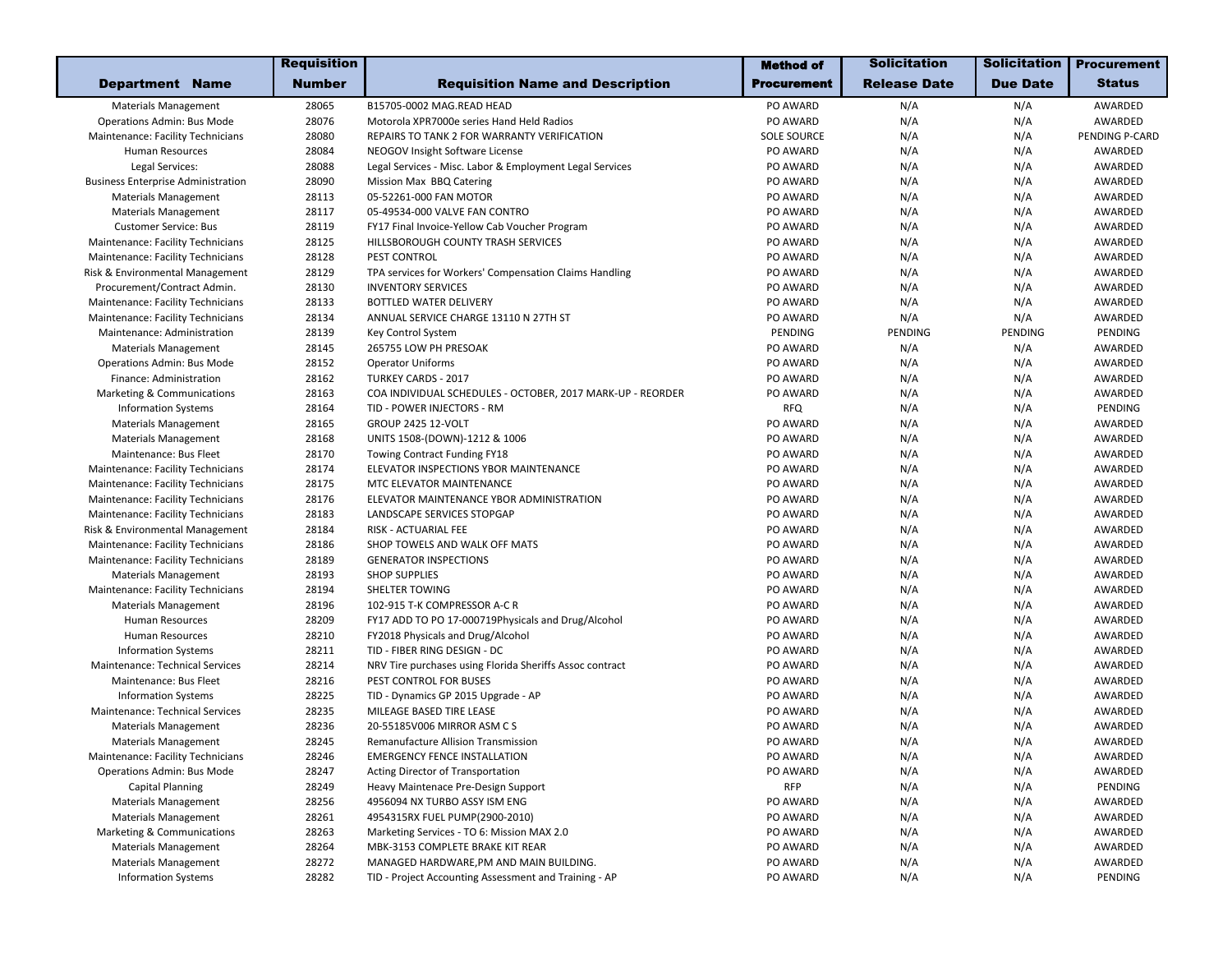|                                           | <b>Requisition</b> |                                                            | <b>Method of</b>   | <b>Solicitation</b> | <b>Solicitation</b> | <b>Procurement</b> |
|-------------------------------------------|--------------------|------------------------------------------------------------|--------------------|---------------------|---------------------|--------------------|
| <b>Department Name</b>                    | <b>Number</b>      | <b>Requisition Name and Description</b>                    | Procurement        | <b>Release Date</b> | <b>Due Date</b>     | <b>Status</b>      |
| <b>Materials Management</b>               | 28065              | B15705-0002 MAG.READ HEAD                                  | PO AWARD           | N/A                 | N/A                 | AWARDED            |
| <b>Operations Admin: Bus Mode</b>         | 28076              | Motorola XPR7000e series Hand Held Radios                  | PO AWARD           | N/A                 | N/A                 | AWARDED            |
| Maintenance: Facility Technicians         | 28080              | REPAIRS TO TANK 2 FOR WARRANTY VERIFICATION                | <b>SOLE SOURCE</b> | N/A                 | N/A                 | PENDING P-CARD     |
| Human Resources                           | 28084              | NEOGOV Insight Software License                            | PO AWARD           | N/A                 | N/A                 | AWARDED            |
| Legal Services:                           | 28088              | Legal Services - Misc. Labor & Employment Legal Services   | PO AWARD           | N/A                 | N/A                 | AWARDED            |
| <b>Business Enterprise Administration</b> | 28090              | Mission Max BBQ Catering                                   | PO AWARD           | N/A                 | N/A                 | AWARDED            |
| <b>Materials Management</b>               | 28113              | 05-52261-000 FAN MOTOR                                     | PO AWARD           | N/A                 | N/A                 | AWARDED            |
| <b>Materials Management</b>               | 28117              | 05-49534-000 VALVE FAN CONTRO                              | PO AWARD           | N/A                 | N/A                 | AWARDED            |
| <b>Customer Service: Bus</b>              | 28119              | FY17 Final Invoice-Yellow Cab Voucher Program              | PO AWARD           | N/A                 | N/A                 | AWARDED            |
| Maintenance: Facility Technicians         | 28125              | HILLSBOROUGH COUNTY TRASH SERVICES                         | PO AWARD           | N/A                 | N/A                 | AWARDED            |
| Maintenance: Facility Technicians         | 28128              | PEST CONTROL                                               | PO AWARD           | N/A                 | N/A                 | AWARDED            |
| Risk & Environmental Management           | 28129              | TPA services for Workers' Compensation Claims Handling     | PO AWARD           | N/A                 | N/A                 | AWARDED            |
| Procurement/Contract Admin.               | 28130              | <b>INVENTORY SERVICES</b>                                  | PO AWARD           | N/A                 | N/A                 | AWARDED            |
| Maintenance: Facility Technicians         | 28133              | BOTTLED WATER DELIVERY                                     | PO AWARD           | N/A                 | N/A                 | AWARDED            |
| Maintenance: Facility Technicians         | 28134              | ANNUAL SERVICE CHARGE 13110 N 27TH ST                      | PO AWARD           | N/A                 | N/A                 | AWARDED            |
| Maintenance: Administration               | 28139              | Key Control System                                         | PENDING            | PENDING             | PENDING             | PENDING            |
| <b>Materials Management</b>               | 28145              | 265755 LOW PH PRESOAK                                      | PO AWARD           | N/A                 | N/A                 | AWARDED            |
| <b>Operations Admin: Bus Mode</b>         | 28152              | <b>Operator Uniforms</b>                                   | PO AWARD           | N/A                 | N/A                 | AWARDED            |
| Finance: Administration                   | 28162              | <b>TURKEY CARDS - 2017</b>                                 | PO AWARD           | N/A                 | N/A                 | AWARDED            |
| Marketing & Communications                | 28163              | COA INDIVIDUAL SCHEDULES - OCTOBER, 2017 MARK-UP - REORDER | PO AWARD           | N/A                 | N/A                 | AWARDED            |
| <b>Information Systems</b>                | 28164              | TID - POWER INJECTORS - RM                                 | <b>RFQ</b>         | N/A                 | N/A                 | PENDING            |
| <b>Materials Management</b>               | 28165              | <b>GROUP 2425 12-VOLT</b>                                  | PO AWARD           | N/A                 | N/A                 | AWARDED            |
| <b>Materials Management</b>               | 28168              | UNITS 1508-(DOWN)-1212 & 1006                              | PO AWARD           | N/A                 | N/A                 | AWARDED            |
| Maintenance: Bus Fleet                    | 28170              | Towing Contract Funding FY18                               | PO AWARD           | N/A                 | N/A                 | AWARDED            |
| Maintenance: Facility Technicians         | 28174              | ELEVATOR INSPECTIONS YBOR MAINTENANCE                      | PO AWARD           | N/A                 | N/A                 | AWARDED            |
| Maintenance: Facility Technicians         | 28175              | MTC ELEVATOR MAINTENANCE                                   | PO AWARD           | N/A                 | N/A                 | AWARDED            |
| Maintenance: Facility Technicians         | 28176              | ELEVATOR MAINTENANCE YBOR ADMINISTRATION                   | PO AWARD           | N/A                 | N/A                 | AWARDED            |
| Maintenance: Facility Technicians         | 28183              | LANDSCAPE SERVICES STOPGAP                                 | PO AWARD           | N/A                 | N/A                 | AWARDED            |
| Risk & Environmental Management           | 28184              | RISK - ACTUARIAL FEE                                       | PO AWARD           | N/A                 | N/A                 | AWARDED            |
| Maintenance: Facility Technicians         | 28186              | SHOP TOWELS AND WALK OFF MATS                              | PO AWARD           | N/A                 | N/A                 | AWARDED            |
| Maintenance: Facility Technicians         | 28189              | <b>GENERATOR INSPECTIONS</b>                               | PO AWARD           | N/A                 | N/A                 | AWARDED            |
| <b>Materials Management</b>               | 28193              | <b>SHOP SUPPLIES</b>                                       | PO AWARD           | N/A                 | N/A                 | AWARDED            |
| Maintenance: Facility Technicians         | 28194              | SHELTER TOWING                                             | PO AWARD           | N/A                 | N/A                 | AWARDED            |
| <b>Materials Management</b>               | 28196              | 102-915 T-K COMPRESSOR A-C R                               | PO AWARD           | N/A                 | N/A                 | AWARDED            |
| Human Resources                           | 28209              | FY17 ADD TO PO 17-000719Physicals and Drug/Alcohol         | PO AWARD           | N/A                 | N/A                 | AWARDED            |
| <b>Human Resources</b>                    | 28210              | FY2018 Physicals and Drug/Alcohol                          | PO AWARD           | N/A                 | N/A                 | AWARDED            |
| <b>Information Systems</b>                | 28211              | TID - FIBER RING DESIGN - DC                               | PO AWARD           | N/A                 | N/A                 | AWARDED            |
| <b>Maintenance: Technical Services</b>    | 28214              | NRV Tire purchases using Florida Sheriffs Assoc contract   | PO AWARD           | N/A                 | N/A                 | AWARDED            |
| Maintenance: Bus Fleet                    | 28216              | PEST CONTROL FOR BUSES                                     | PO AWARD           | N/A                 | N/A                 | AWARDED            |
| <b>Information Systems</b>                | 28225              | TID - Dynamics GP 2015 Upgrade - AP                        | PO AWARD           | N/A                 | N/A                 | AWARDED            |
| Maintenance: Technical Services           | 28235              | MILEAGE BASED TIRE LEASE                                   | PO AWARD           | N/A                 | N/A                 | AWARDED            |
| <b>Materials Management</b>               | 28236              | 20-55185V006 MIRROR ASM CS                                 | PO AWARD           | N/A                 | N/A                 | AWARDED            |
| <b>Materials Management</b>               | 28245              | <b>Remanufacture Allision Transmission</b>                 | PO AWARD           | N/A                 | N/A                 | AWARDED            |
| Maintenance: Facility Technicians         | 28246              | <b>EMERGENCY FENCE INSTALLATION</b>                        | PO AWARD           | N/A                 | N/A                 | AWARDED            |
| <b>Operations Admin: Bus Mode</b>         | 28247              | Acting Director of Transportation                          | PO AWARD           | N/A                 | N/A                 | AWARDED            |
| Capital Planning                          | 28249              | Heavy Maintenace Pre-Design Support                        | <b>RFP</b>         | N/A                 | N/A                 | PENDING            |
| <b>Materials Management</b>               | 28256              | 4956094 NX TURBO ASSY ISM ENG                              | PO AWARD           | N/A                 | N/A                 | AWARDED            |
| <b>Materials Management</b>               | 28261              | 4954315RX FUEL PUMP(2900-2010)                             | PO AWARD           | N/A                 | N/A                 | AWARDED            |
| Marketing & Communications                | 28263              | Marketing Services - TO 6: Mission MAX 2.0                 | PO AWARD           | N/A                 | N/A                 | AWARDED            |
| <b>Materials Management</b>               | 28264              | MBK-3153 COMPLETE BRAKE KIT REAR                           | PO AWARD           | N/A                 | N/A                 | AWARDED            |
| <b>Materials Management</b>               | 28272              | MANAGED HARDWARE, PM AND MAIN BUILDING.                    | PO AWARD           | N/A                 | N/A                 | AWARDED            |
| <b>Information Systems</b>                | 28282              | TID - Project Accounting Assessment and Training - AP      | PO AWARD           | N/A                 | N/A                 | PENDING            |
|                                           |                    |                                                            |                    |                     |                     |                    |